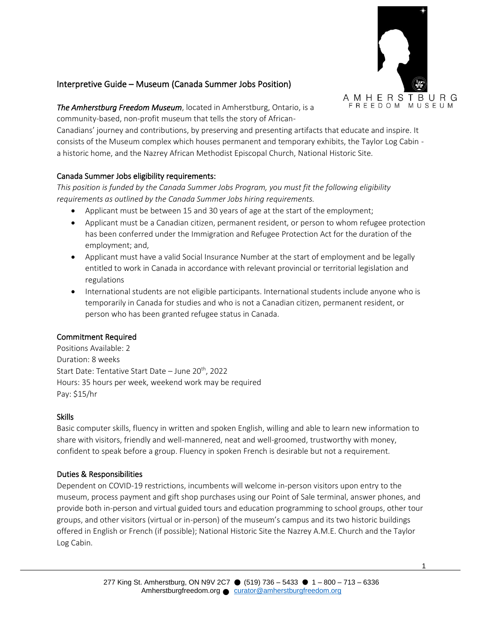

# Interpretive Guide – Museum (Canada Summer Jobs Position)

*The Amherstburg Freedom Museum*, located in Amherstburg, Ontario, is a community-based, non-profit museum that tells the story of African-

Canadians' journey and contributions, by preserving and presenting artifacts that educate and inspire. It consists of the Museum complex which houses permanent and temporary exhibits, the Taylor Log Cabin a historic home, and the Nazrey African Methodist Episcopal Church, National Historic Site.

### Canada Summer Jobs eligibility requirements:

*This position is funded by the Canada Summer Jobs Program, you must fit the following eligibility requirements as outlined by the Canada Summer Jobs hiring requirements.* 

- Applicant must be between 15 and 30 years of age at the start of the employment;
- Applicant must be a Canadian citizen, permanent resident, or person to whom refugee protection has been conferred under the Immigration and Refugee Protection Act for the duration of the employment; and,
- Applicant must have a valid Social Insurance Number at the start of employment and be legally entitled to work in Canada in accordance with relevant provincial or territorial legislation and regulations
- International students are not eligible participants. International students include anyone who is temporarily in Canada for studies and who is not a Canadian citizen, permanent resident, or person who has been granted refugee status in Canada.

# Commitment Required

Positions Available: 2 Duration: 8 weeks Start Date: Tentative Start Date - June 20<sup>th</sup>, 2022 Hours: 35 hours per week, weekend work may be required Pay: \$15/hr

#### Skills

Basic computer skills, fluency in written and spoken English, willing and able to learn new information to share with visitors, friendly and well-mannered, neat and well-groomed, trustworthy with money, confident to speak before a group. Fluency in spoken French is desirable but not a requirement.

#### Duties & Responsibilities

Dependent on COVID-19 restrictions, incumbents will welcome in-person visitors upon entry to the museum, process payment and gift shop purchases using our Point of Sale terminal, answer phones, and provide both in-person and virtual guided tours and education programming to school groups, other tour groups, and other visitors (virtual or in-person) of the museum's campus and its two historic buildings offered in English or French (if possible); National Historic Site the Nazrey A.M.E. Church and the Taylor Log Cabin.

1